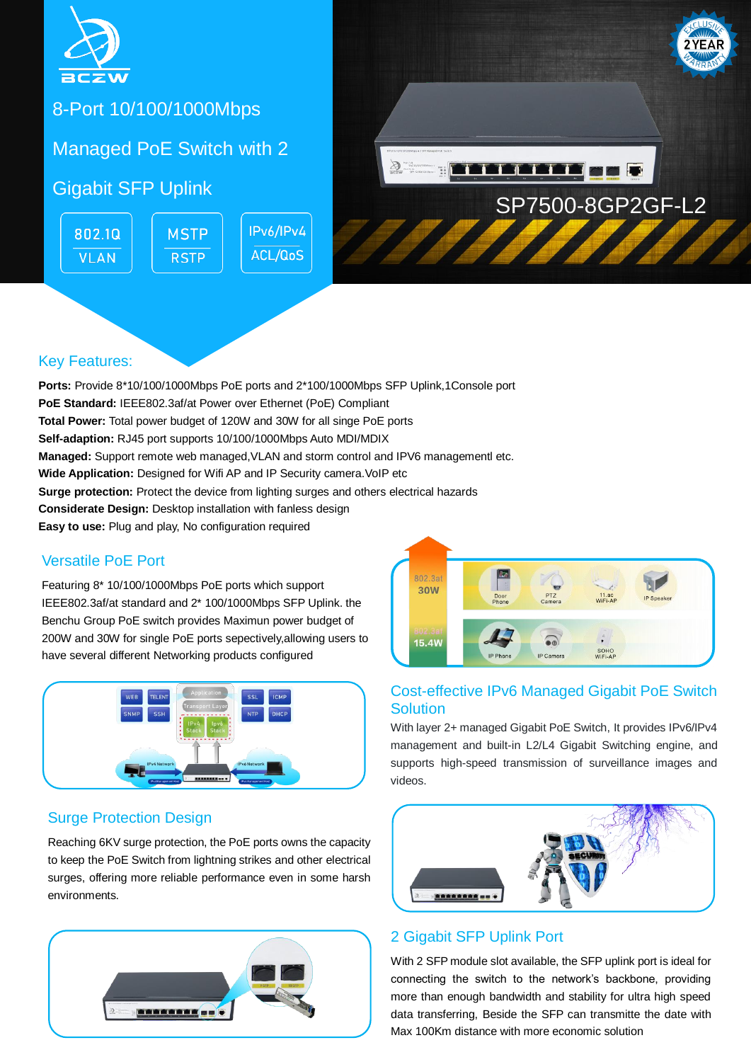

8-Port 10/100/1000Mbps

Managed PoE Switch with 2

Gigabit SFP Uplink

IPv6/IPv4 802.10 **MSTP ACL/QoS VLAN RSTP** 



### Key Features:

**Ports:** Provide 8\*10/100/1000Mbps PoE ports and 2\*100/1000Mbps SFP Uplink,1Console port **PoE Standard:** IEEE802.3af/at Power over Ethernet (PoE) Compliant **Total Power:** Total power budget of 120W and 30W for all singe PoE ports **Self-adaption:** RJ45 port supports 10/100/1000Mbps Auto MDI/MDIX **Managed:** Support remote web managed,VLAN and storm control and IPV6 managementl etc. **Wide Application:** Designed for Wifi AP and IP Security camera. VoIP etc **Surge protection:** Protect the device from lighting surges and others electrical hazards **Considerate Design:** Desktop installation with fanless design **Easy to use:** Plug and play, No configuration required

### Versatile PoE Port

Featuring 8\* 10/100/1000Mbps PoE ports which support IEEE802.3af/at standard and 2\* 100/1000Mbps SFP Uplink. the Benchu Group PoE switch provides Maximun power budget of 200W and 30W for single PoE ports sepectively,allowing users to have several different Networking products configured



### Surge Protection Design

Reaching 6KV surge protection, the PoE ports owns the capacity to keep the PoE Switch from lightning strikes and other electrical surges, offering more reliable performance even in some harsh environments.





#### Cost-effective IPv6 Managed Gigabit PoE Switch **Solution**

With layer 2+ managed Gigabit PoE Switch, It provides IPv6/IPv4 management and built-in L2/L4 Gigabit Switching engine, and supports high-speed transmission of surveillance images and videos.



### 2 Gigabit SFP Uplink Port

With 2 SFP module slot available, the SFP uplink port is ideal for connecting the switch to the network's backbone, providing more than enough bandwidth and stability for ultra high speed data transferring, Beside the SFP can transmitte the date with Max 100Km distance with more economic solution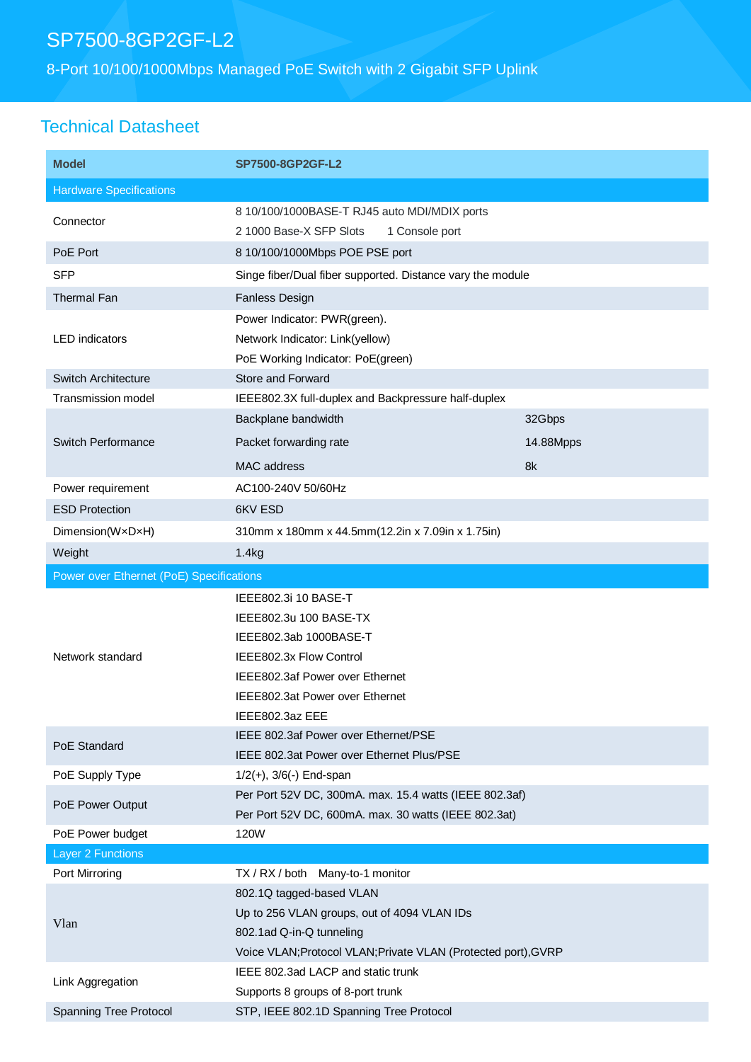# SP7500-8GP2GF-L2

8-Port 10/100/1000Mbps Managed PoE Switch with 2 Gigabit SFP Uplink

## Technical Datasheet

| <b>Model</b>                             | SP7500-8GP2GF-L2                                                                                                                                                      |           |  |
|------------------------------------------|-----------------------------------------------------------------------------------------------------------------------------------------------------------------------|-----------|--|
| <b>Hardware Specifications</b>           |                                                                                                                                                                       |           |  |
| Connector                                | 8 10/100/1000BASE-T RJ45 auto MDI/MDIX ports<br>2 1000 Base-X SFP Slots<br>1 Console port                                                                             |           |  |
| PoE Port                                 | 8 10/100/1000Mbps POE PSE port                                                                                                                                        |           |  |
| <b>SFP</b>                               | Singe fiber/Dual fiber supported. Distance vary the module                                                                                                            |           |  |
| Thermal Fan                              | <b>Fanless Design</b>                                                                                                                                                 |           |  |
| <b>LED</b> indicators                    | Power Indicator: PWR(green).                                                                                                                                          |           |  |
|                                          | Network Indicator: Link(yellow)                                                                                                                                       |           |  |
|                                          | PoE Working Indicator: PoE(green)                                                                                                                                     |           |  |
| Switch Architecture                      | Store and Forward                                                                                                                                                     |           |  |
| <b>Transmission model</b>                | IEEE802.3X full-duplex and Backpressure half-duplex                                                                                                                   |           |  |
| Switch Performance                       | Backplane bandwidth                                                                                                                                                   | 32Gbps    |  |
|                                          | Packet forwarding rate                                                                                                                                                | 14.88Mpps |  |
|                                          | MAC address                                                                                                                                                           | 8k        |  |
| Power requirement                        | AC100-240V 50/60Hz                                                                                                                                                    |           |  |
| <b>ESD Protection</b>                    | 6KV ESD                                                                                                                                                               |           |  |
| Dimension(WxDxH)                         | 310mm x 180mm x 44.5mm(12.2in x 7.09in x 1.75in)                                                                                                                      |           |  |
| Weight                                   | 1.4kg                                                                                                                                                                 |           |  |
| Power over Ethernet (PoE) Specifications |                                                                                                                                                                       |           |  |
| Network standard<br>PoE Standard         | IEEE802.3i 10 BASE-T<br>IEEE802.3u 100 BASE-TX<br>IEEE802.3ab 1000BASE-T<br>IEEE802.3x Flow Control<br>IEEE802.3af Power over Ethernet                                |           |  |
|                                          | IEEE802.3at Power over Ethernet                                                                                                                                       |           |  |
|                                          | IEEE802.3az EEE                                                                                                                                                       |           |  |
|                                          | IEEE 802.3af Power over Ethernet/PSE<br>IEEE 802.3at Power over Ethernet Plus/PSE                                                                                     |           |  |
| PoE Supply Type                          | $1/2(+)$ , $3/6(-)$ End-span                                                                                                                                          |           |  |
| PoE Power Output                         | Per Port 52V DC, 300mA. max. 15.4 watts (IEEE 802.3af)                                                                                                                |           |  |
|                                          | Per Port 52V DC, 600mA. max. 30 watts (IEEE 802.3at)                                                                                                                  |           |  |
| PoE Power budget                         | 120W                                                                                                                                                                  |           |  |
| <b>Layer 2 Functions</b>                 |                                                                                                                                                                       |           |  |
| Port Mirroring                           | TX / RX / both Many-to-1 monitor                                                                                                                                      |           |  |
| Vlan                                     | 802.1Q tagged-based VLAN<br>Up to 256 VLAN groups, out of 4094 VLAN IDs<br>802.1ad Q-in-Q tunneling<br>Voice VLAN; Protocol VLAN; Private VLAN (Protected port), GVRP |           |  |
| Link Aggregation                         | IEEE 802.3ad LACP and static trunk                                                                                                                                    |           |  |
|                                          | Supports 8 groups of 8-port trunk                                                                                                                                     |           |  |
| Spanning Tree Protocol                   | STP, IEEE 802.1D Spanning Tree Protocol                                                                                                                               |           |  |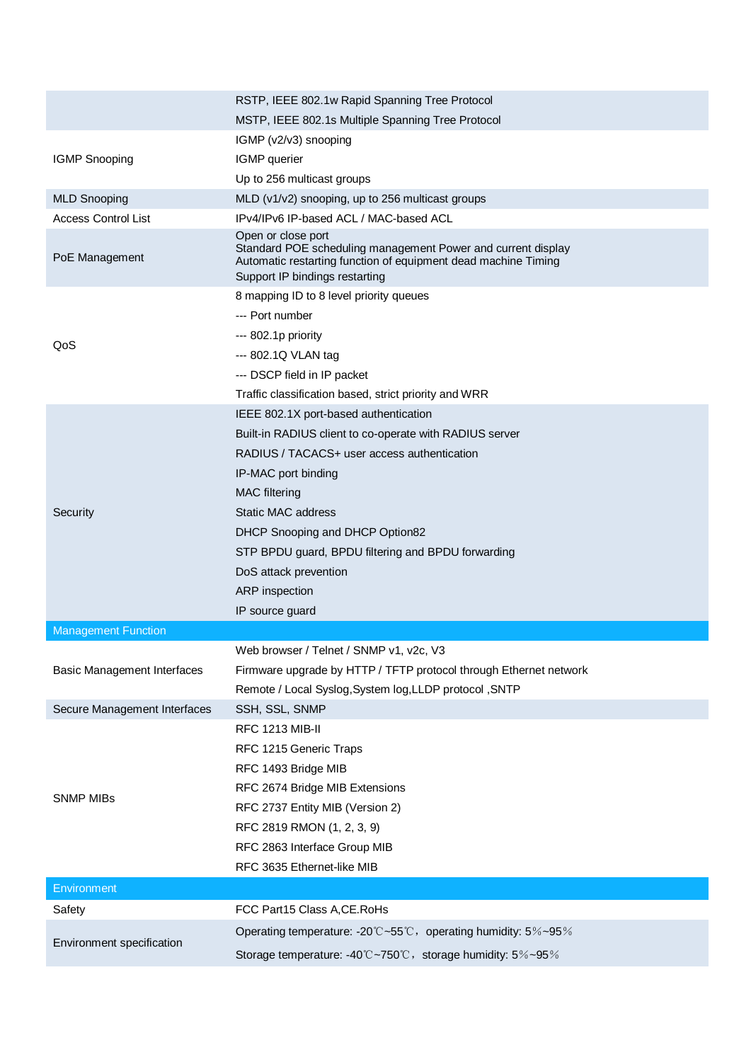|                                    | RSTP, IEEE 802.1w Rapid Spanning Tree Protocol                                                                                                                                         |  |  |
|------------------------------------|----------------------------------------------------------------------------------------------------------------------------------------------------------------------------------------|--|--|
|                                    | MSTP, IEEE 802.1s Multiple Spanning Tree Protocol                                                                                                                                      |  |  |
|                                    | IGMP (v2/v3) snooping                                                                                                                                                                  |  |  |
| <b>IGMP Snooping</b>               | IGMP querier                                                                                                                                                                           |  |  |
|                                    | Up to 256 multicast groups                                                                                                                                                             |  |  |
| <b>MLD Snooping</b>                | MLD (v1/v2) snooping, up to 256 multicast groups                                                                                                                                       |  |  |
| <b>Access Control List</b>         | IPv4/IPv6 IP-based ACL / MAC-based ACL                                                                                                                                                 |  |  |
| PoE Management                     | Open or close port<br>Standard POE scheduling management Power and current display<br>Automatic restarting function of equipment dead machine Timing<br>Support IP bindings restarting |  |  |
|                                    | 8 mapping ID to 8 level priority queues                                                                                                                                                |  |  |
|                                    | --- Port number                                                                                                                                                                        |  |  |
|                                    | --- 802.1p priority                                                                                                                                                                    |  |  |
| QoS                                | --- 802.1Q VLAN tag                                                                                                                                                                    |  |  |
|                                    | --- DSCP field in IP packet                                                                                                                                                            |  |  |
|                                    | Traffic classification based, strict priority and WRR                                                                                                                                  |  |  |
|                                    | IEEE 802.1X port-based authentication                                                                                                                                                  |  |  |
|                                    | Built-in RADIUS client to co-operate with RADIUS server                                                                                                                                |  |  |
|                                    | RADIUS / TACACS+ user access authentication                                                                                                                                            |  |  |
|                                    | IP-MAC port binding                                                                                                                                                                    |  |  |
|                                    | <b>MAC</b> filtering                                                                                                                                                                   |  |  |
| Security                           | <b>Static MAC address</b>                                                                                                                                                              |  |  |
|                                    | DHCP Snooping and DHCP Option82                                                                                                                                                        |  |  |
|                                    | STP BPDU guard, BPDU filtering and BPDU forwarding                                                                                                                                     |  |  |
|                                    | DoS attack prevention                                                                                                                                                                  |  |  |
|                                    | ARP inspection                                                                                                                                                                         |  |  |
|                                    | IP source guard                                                                                                                                                                        |  |  |
| <b>Management Function</b>         |                                                                                                                                                                                        |  |  |
|                                    | Web browser / Telnet / SNMP v1, v2c, V3                                                                                                                                                |  |  |
| <b>Basic Management Interfaces</b> | Firmware upgrade by HTTP / TFTP protocol through Ethernet network                                                                                                                      |  |  |
|                                    | Remote / Local Syslog, System log, LLDP protocol, SNTP                                                                                                                                 |  |  |
| Secure Management Interfaces       | SSH, SSL, SNMP                                                                                                                                                                         |  |  |
|                                    | <b>RFC 1213 MIB-II</b>                                                                                                                                                                 |  |  |
|                                    | RFC 1215 Generic Traps                                                                                                                                                                 |  |  |
|                                    | RFC 1493 Bridge MIB                                                                                                                                                                    |  |  |
|                                    | RFC 2674 Bridge MIB Extensions                                                                                                                                                         |  |  |
| <b>SNMP MIBs</b>                   | RFC 2737 Entity MIB (Version 2)                                                                                                                                                        |  |  |
|                                    | RFC 2819 RMON (1, 2, 3, 9)                                                                                                                                                             |  |  |
|                                    | RFC 2863 Interface Group MIB                                                                                                                                                           |  |  |
|                                    | RFC 3635 Ethernet-like MIB                                                                                                                                                             |  |  |
| Environment                        |                                                                                                                                                                                        |  |  |
| Safety                             | FCC Part15 Class A, CE. RoHs                                                                                                                                                           |  |  |
| Environment specification          | Operating temperature: -20°C~55°C, operating humidity: 5%~95%                                                                                                                          |  |  |
|                                    | Storage temperature: -40°C~750°C, storage humidity: 5%~95%                                                                                                                             |  |  |
|                                    |                                                                                                                                                                                        |  |  |